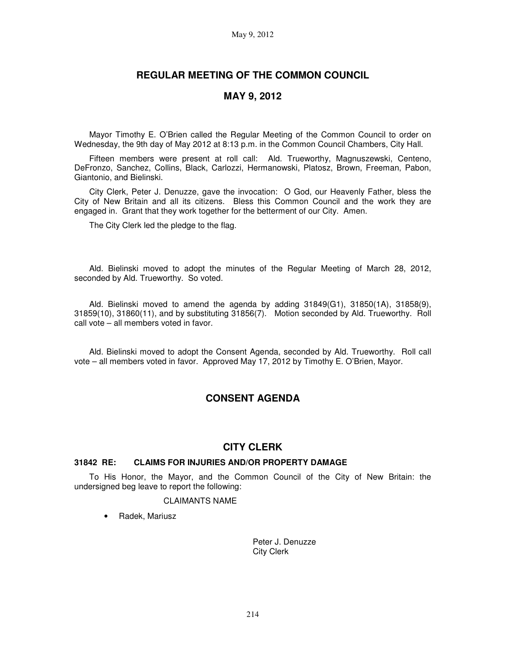# **REGULAR MEETING OF THE COMMON COUNCIL**

# **MAY 9, 2012**

Mayor Timothy E. O'Brien called the Regular Meeting of the Common Council to order on Wednesday, the 9th day of May 2012 at 8:13 p.m. in the Common Council Chambers, City Hall.

Fifteen members were present at roll call: Ald. Trueworthy, Magnuszewski, Centeno, DeFronzo, Sanchez, Collins, Black, Carlozzi, Hermanowski, Platosz, Brown, Freeman, Pabon, Giantonio, and Bielinski.

City Clerk, Peter J. Denuzze, gave the invocation: O God, our Heavenly Father, bless the City of New Britain and all its citizens. Bless this Common Council and the work they are engaged in. Grant that they work together for the betterment of our City. Amen.

The City Clerk led the pledge to the flag.

Ald. Bielinski moved to adopt the minutes of the Regular Meeting of March 28, 2012, seconded by Ald. Trueworthy. So voted.

Ald. Bielinski moved to amend the agenda by adding 31849(G1), 31850(1A), 31858(9), 31859(10), 31860(11), and by substituting 31856(7). Motion seconded by Ald. Trueworthy. Roll call vote – all members voted in favor.

Ald. Bielinski moved to adopt the Consent Agenda, seconded by Ald. Trueworthy. Roll call vote – all members voted in favor. Approved May 17, 2012 by Timothy E. O'Brien, Mayor.

# **CONSENT AGENDA**

# **CITY CLERK**

### **31842 RE: CLAIMS FOR INJURIES AND/OR PROPERTY DAMAGE**

To His Honor, the Mayor, and the Common Council of the City of New Britain: the undersigned beg leave to report the following:

#### CLAIMANTS NAME

• Radek, Mariusz

Peter J. Denuzze City Clerk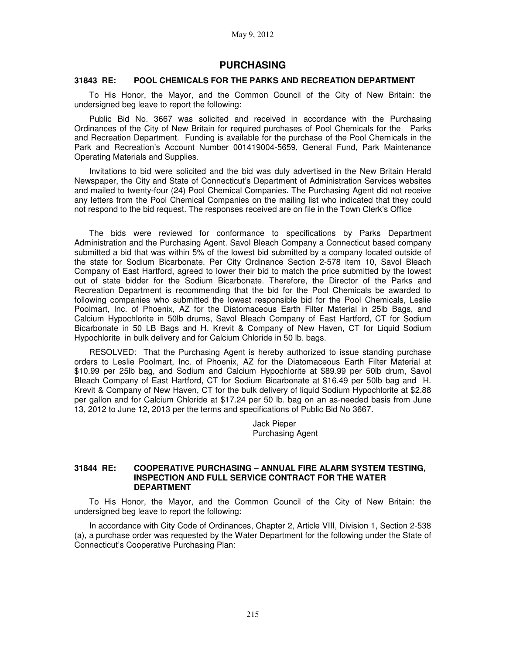# **PURCHASING**

### **31843 RE: POOL CHEMICALS FOR THE PARKS AND RECREATION DEPARTMENT**

To His Honor, the Mayor, and the Common Council of the City of New Britain: the undersigned beg leave to report the following:

Public Bid No. 3667 was solicited and received in accordance with the Purchasing Ordinances of the City of New Britain for required purchases of Pool Chemicals for the Parks and Recreation Department. Funding is available for the purchase of the Pool Chemicals in the Park and Recreation's Account Number 001419004-5659, General Fund, Park Maintenance Operating Materials and Supplies.

Invitations to bid were solicited and the bid was duly advertised in the New Britain Herald Newspaper, the City and State of Connecticut's Department of Administration Services websites and mailed to twenty-four (24) Pool Chemical Companies. The Purchasing Agent did not receive any letters from the Pool Chemical Companies on the mailing list who indicated that they could not respond to the bid request. The responses received are on file in the Town Clerk's Office

The bids were reviewed for conformance to specifications by Parks Department Administration and the Purchasing Agent. Savol Bleach Company a Connecticut based company submitted a bid that was within 5% of the lowest bid submitted by a company located outside of the state for Sodium Bicarbonate. Per City Ordinance Section 2-578 item 10, Savol Bleach Company of East Hartford, agreed to lower their bid to match the price submitted by the lowest out of state bidder for the Sodium Bicarbonate. Therefore, the Director of the Parks and Recreation Department is recommending that the bid for the Pool Chemicals be awarded to following companies who submitted the lowest responsible bid for the Pool Chemicals, Leslie Poolmart, Inc. of Phoenix, AZ for the Diatomaceous Earth Filter Material in 25lb Bags, and Calcium Hypochlorite in 50lb drums, Savol Bleach Company of East Hartford, CT for Sodium Bicarbonate in 50 LB Bags and H. Krevit & Company of New Haven, CT for Liquid Sodium Hypochlorite in bulk delivery and for Calcium Chloride in 50 lb. bags.

RESOLVED: That the Purchasing Agent is hereby authorized to issue standing purchase orders to Leslie Poolmart, Inc. of Phoenix, AZ for the Diatomaceous Earth Filter Material at \$10.99 per 25lb bag, and Sodium and Calcium Hypochlorite at \$89.99 per 50lb drum, Savol Bleach Company of East Hartford, CT for Sodium Bicarbonate at \$16.49 per 50lb bag and H. Krevit & Company of New Haven, CT for the bulk delivery of liquid Sodium Hypochlorite at \$2.88 per gallon and for Calcium Chloride at \$17.24 per 50 lb. bag on an as-needed basis from June 13, 2012 to June 12, 2013 per the terms and specifications of Public Bid No 3667.

> Jack Pieper Purchasing Agent

### **31844 RE: COOPERATIVE PURCHASING – ANNUAL FIRE ALARM SYSTEM TESTING, INSPECTION AND FULL SERVICE CONTRACT FOR THE WATER DEPARTMENT**

To His Honor, the Mayor, and the Common Council of the City of New Britain: the undersigned beg leave to report the following:

In accordance with City Code of Ordinances, Chapter 2, Article VIII, Division 1, Section 2-538 (a), a purchase order was requested by the Water Department for the following under the State of Connecticut's Cooperative Purchasing Plan: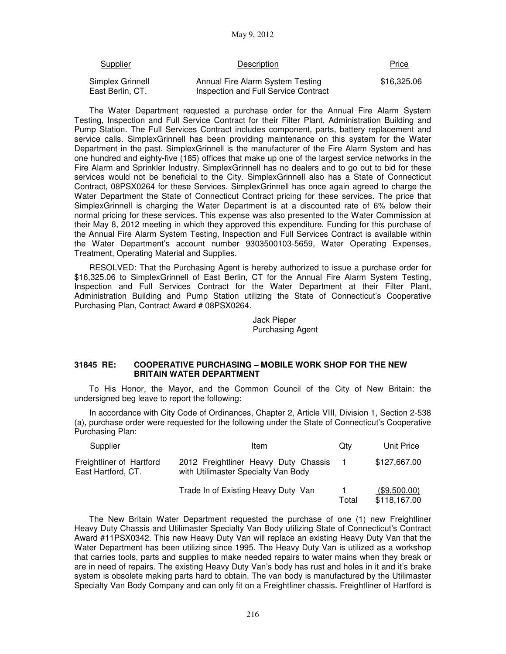| <b>Supplier</b>                      | Description                                                              | Price       |
|--------------------------------------|--------------------------------------------------------------------------|-------------|
| Simplex Grinnell<br>East Berlin, CT. | Annual Fire Alarm System Testing<br>Inspection and Full Service Contract | \$16,325.06 |

The Water Department requested a purchase order for the Annual Fire Alarm System Testing, Inspection and Full Service Contract for their Filter Plant, Administration Building and Pump Station. The Full Services Contract includes component, parts, battery replacement and service calls. SimplexGrinnell has been providing maintenance on this system for the Water Department in the past. SimplexGrinnell is the manufacturer of the Fire Alarm System and has one hundred and eighty-five (185) offices that make up one of the largest service networks in the Fire Alarm and Sprinkler Industry. SimplexGrinnell has no dealers and to go out to bid for these services would not be beneficial to the City. SimplexGrinnell also has a State of Connecticut Contract, 08PSX0264 for these Services. SimplexGrinnell has once again agreed to charge the Water Department the State of Connecticut Contract pricing for these services. The price that SimplexGrinnell is charging the Water Department is at a discounted rate of 6% below their normal pricing for these services. This expense was also presented to the Water Commission at their May 8, 2012 meeting in which they approved this expenditure. Funding for this purchase of the Annual Fire Alarm System Testing, Inspection and Full Services Contract is available within the Water Department's account number 9303500103-5659, Water Operating Expenses, Treatment, Operating Material and Supplies.

RESOLVED: That the Purchasing Agent is hereby authorized to issue a purchase order for \$16,325.06 to SimplexGrinnell of East Berlin, CT for the Annual Fire Alarm System Testing, Inspection and Full Services Contract for the Water Department at their Filter Plant, Administration Building and Pump Station utilizing the State of Connecticut's Cooperative Purchasing Plan, Contract Award # 08PSX0264.

> Jack Pieper Purchasing Agent

### **31845 RE: COOPERATIVE PURCHASING – MOBILE WORK SHOP FOR THE NEW BRITAIN WATER DEPARTMENT**

To His Honor, the Mayor, and the Common Council of the City of New Britain: the undersigned beg leave to report the following:

In accordance with City Code of Ordinances, Chapter 2, Article VIII, Division 1, Section 2-538 (a), purchase order were requested for the following under the State of Connecticut's Cooperative Purchasing Plan:

| Supplier                                       | ltem                                                                        | Qtv   | Unit Price                   |
|------------------------------------------------|-----------------------------------------------------------------------------|-------|------------------------------|
| Freightliner of Hartford<br>East Hartford, CT. | 2012 Freightliner Heavy Duty Chassis<br>with Utilimaster Specialty Van Body |       | \$127,667.00                 |
|                                                | Trade In of Existing Heavy Duty Van                                         | Total | (\$9,500.00)<br>\$118,167.00 |

The New Britain Water Department requested the purchase of one (1) new Freightliner Heavy Duty Chassis and Utilimaster Specialty Van Body utilizing State of Connecticut's Contract Award #11PSX0342. This new Heavy Duty Van will replace an existing Heavy Duty Van that the Water Department has been utilizing since 1995. The Heavy Duty Van is utilized as a workshop that carries tools, parts and supplies to make needed repairs to water mains when they break or are in need of repairs. The existing Heavy Duty Van's body has rust and holes in it and it's brake system is obsolete making parts hard to obtain. The van body is manufactured by the Utilimaster Specialty Van Body Company and can only fit on a Freightliner chassis. Freightliner of Hartford is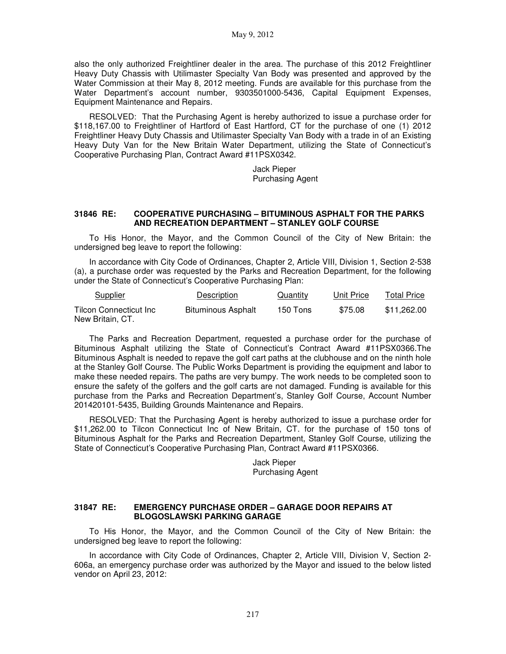also the only authorized Freightliner dealer in the area. The purchase of this 2012 Freightliner Heavy Duty Chassis with Utilimaster Specialty Van Body was presented and approved by the Water Commission at their May 8, 2012 meeting. Funds are available for this purchase from the Water Department's account number, 9303501000-5436, Capital Equipment Expenses, Equipment Maintenance and Repairs.

RESOLVED: That the Purchasing Agent is hereby authorized to issue a purchase order for \$118,167.00 to Freightliner of Hartford of East Hartford, CT for the purchase of one (1) 2012 Freightliner Heavy Duty Chassis and Utilimaster Specialty Van Body with a trade in of an Existing Heavy Duty Van for the New Britain Water Department, utilizing the State of Connecticut's Cooperative Purchasing Plan, Contract Award #11PSX0342.

> Jack Pieper Purchasing Agent

### **31846 RE: COOPERATIVE PURCHASING – BITUMINOUS ASPHALT FOR THE PARKS AND RECREATION DEPARTMENT – STANLEY GOLF COURSE**

To His Honor, the Mayor, and the Common Council of the City of New Britain: the undersigned beg leave to report the following:

In accordance with City Code of Ordinances, Chapter 2, Article VIII, Division 1, Section 2-538 (a), a purchase order was requested by the Parks and Recreation Department, for the following under the State of Connecticut's Cooperative Purchasing Plan:

| <b>Supplier</b>                                    | <b>Description</b>        | <b>Quantity</b> | Unit Price | <b>Total Price</b> |
|----------------------------------------------------|---------------------------|-----------------|------------|--------------------|
| <b>Tilcon Connecticut Inc.</b><br>New Britain, CT. | <b>Bituminous Asphalt</b> | 150 Tons        | \$75.08    | \$11.262.00        |

The Parks and Recreation Department, requested a purchase order for the purchase of Bituminous Asphalt utilizing the State of Connecticut's Contract Award #11PSX0366.The Bituminous Asphalt is needed to repave the golf cart paths at the clubhouse and on the ninth hole at the Stanley Golf Course. The Public Works Department is providing the equipment and labor to make these needed repairs. The paths are very bumpy. The work needs to be completed soon to ensure the safety of the golfers and the golf carts are not damaged. Funding is available for this purchase from the Parks and Recreation Department's, Stanley Golf Course, Account Number 201420101-5435, Building Grounds Maintenance and Repairs.

RESOLVED: That the Purchasing Agent is hereby authorized to issue a purchase order for \$11,262.00 to Tilcon Connecticut Inc of New Britain, CT. for the purchase of 150 tons of Bituminous Asphalt for the Parks and Recreation Department, Stanley Golf Course, utilizing the State of Connecticut's Cooperative Purchasing Plan, Contract Award #11PSX0366.

> Jack Pieper Purchasing Agent

#### **31847 RE: EMERGENCY PURCHASE ORDER – GARAGE DOOR REPAIRS AT BLOGOSLAWSKI PARKING GARAGE**

To His Honor, the Mayor, and the Common Council of the City of New Britain: the undersigned beg leave to report the following:

In accordance with City Code of Ordinances, Chapter 2, Article VIII, Division V, Section 2- 606a, an emergency purchase order was authorized by the Mayor and issued to the below listed vendor on April 23, 2012: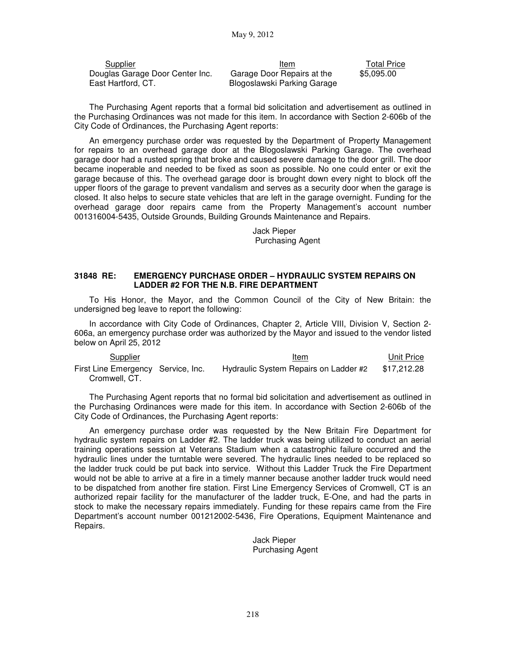| Supplier                        | Item                        | Total Price |
|---------------------------------|-----------------------------|-------------|
| Douglas Garage Door Center Inc. | Garage Door Repairs at the  | \$5.095.00  |
| East Hartford, CT.              | Blogoslawski Parking Garage |             |

The Purchasing Agent reports that a formal bid solicitation and advertisement as outlined in the Purchasing Ordinances was not made for this item. In accordance with Section 2-606b of the City Code of Ordinances, the Purchasing Agent reports:

An emergency purchase order was requested by the Department of Property Management for repairs to an overhead garage door at the Blogoslawski Parking Garage. The overhead garage door had a rusted spring that broke and caused severe damage to the door grill. The door became inoperable and needed to be fixed as soon as possible. No one could enter or exit the garage because of this. The overhead garage door is brought down every night to block off the upper floors of the garage to prevent vandalism and serves as a security door when the garage is closed. It also helps to secure state vehicles that are left in the garage overnight. Funding for the overhead garage door repairs came from the Property Management's account number 001316004-5435, Outside Grounds, Building Grounds Maintenance and Repairs.

> Jack Pieper Purchasing Agent

### **31848 RE: EMERGENCY PURCHASE ORDER – HYDRAULIC SYSTEM REPAIRS ON LADDER #2 FOR THE N.B. FIRE DEPARTMENT**

To His Honor, the Mayor, and the Common Council of the City of New Britain: the undersigned beg leave to report the following:

In accordance with City Code of Ordinances, Chapter 2, Article VIII, Division V, Section 2- 606a, an emergency purchase order was authorized by the Mayor and issued to the vendor listed below on April 25, 2012

| Supplier                                            | <u>Item</u>                           | Unit Price  |
|-----------------------------------------------------|---------------------------------------|-------------|
| First Line Emergency Service, Inc.<br>Cromwell, CT. | Hydraulic System Repairs on Ladder #2 | \$17.212.28 |

The Purchasing Agent reports that no formal bid solicitation and advertisement as outlined in the Purchasing Ordinances were made for this item. In accordance with Section 2-606b of the City Code of Ordinances, the Purchasing Agent reports:

An emergency purchase order was requested by the New Britain Fire Department for hydraulic system repairs on Ladder #2. The ladder truck was being utilized to conduct an aerial training operations session at Veterans Stadium when a catastrophic failure occurred and the hydraulic lines under the turntable were severed. The hydraulic lines needed to be replaced so the ladder truck could be put back into service. Without this Ladder Truck the Fire Department would not be able to arrive at a fire in a timely manner because another ladder truck would need to be dispatched from another fire station. First Line Emergency Services of Cromwell, CT is an authorized repair facility for the manufacturer of the ladder truck, E-One, and had the parts in stock to make the necessary repairs immediately. Funding for these repairs came from the Fire Department's account number 001212002-5436, Fire Operations, Equipment Maintenance and Repairs.

> Jack Pieper Purchasing Agent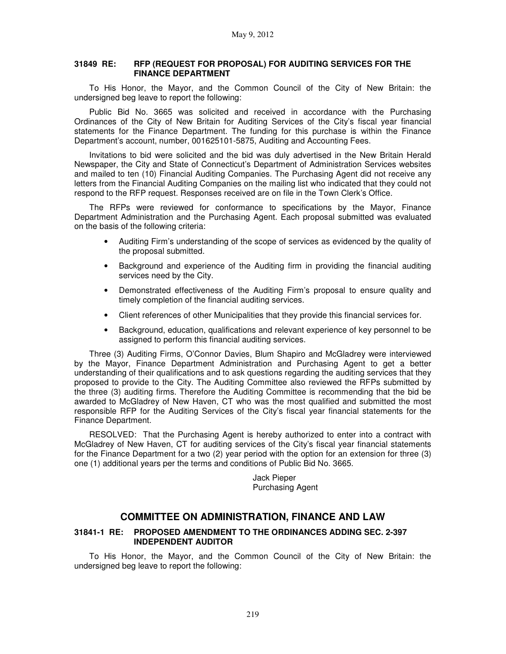### **31849 RE: RFP (REQUEST FOR PROPOSAL) FOR AUDITING SERVICES FOR THE FINANCE DEPARTMENT**

To His Honor, the Mayor, and the Common Council of the City of New Britain: the undersigned beg leave to report the following:

Public Bid No. 3665 was solicited and received in accordance with the Purchasing Ordinances of the City of New Britain for Auditing Services of the City's fiscal year financial statements for the Finance Department. The funding for this purchase is within the Finance Department's account, number, 001625101-5875, Auditing and Accounting Fees.

Invitations to bid were solicited and the bid was duly advertised in the New Britain Herald Newspaper, the City and State of Connecticut's Department of Administration Services websites and mailed to ten (10) Financial Auditing Companies. The Purchasing Agent did not receive any letters from the Financial Auditing Companies on the mailing list who indicated that they could not respond to the RFP request. Responses received are on file in the Town Clerk's Office.

The RFPs were reviewed for conformance to specifications by the Mayor, Finance Department Administration and the Purchasing Agent. Each proposal submitted was evaluated on the basis of the following criteria:

- Auditing Firm's understanding of the scope of services as evidenced by the quality of the proposal submitted.
- Background and experience of the Auditing firm in providing the financial auditing services need by the City.
- Demonstrated effectiveness of the Auditing Firm's proposal to ensure quality and timely completion of the financial auditing services.
- Client references of other Municipalities that they provide this financial services for.
- Background, education, qualifications and relevant experience of key personnel to be assigned to perform this financial auditing services.

Three (3) Auditing Firms, O'Connor Davies, Blum Shapiro and McGladrey were interviewed by the Mayor, Finance Department Administration and Purchasing Agent to get a better understanding of their qualifications and to ask questions regarding the auditing services that they proposed to provide to the City. The Auditing Committee also reviewed the RFPs submitted by the three (3) auditing firms. Therefore the Auditing Committee is recommending that the bid be awarded to McGladrey of New Haven, CT who was the most qualified and submitted the most responsible RFP for the Auditing Services of the City's fiscal year financial statements for the Finance Department.

RESOLVED: That the Purchasing Agent is hereby authorized to enter into a contract with McGladrey of New Haven, CT for auditing services of the City's fiscal year financial statements for the Finance Department for a two (2) year period with the option for an extension for three (3) one (1) additional years per the terms and conditions of Public Bid No. 3665.

> Jack Pieper Purchasing Agent

# **COMMITTEE ON ADMINISTRATION, FINANCE AND LAW**

### **31841-1 RE: PROPOSED AMENDMENT TO THE ORDINANCES ADDING SEC. 2-397 INDEPENDENT AUDITOR**

To His Honor, the Mayor, and the Common Council of the City of New Britain: the undersigned beg leave to report the following: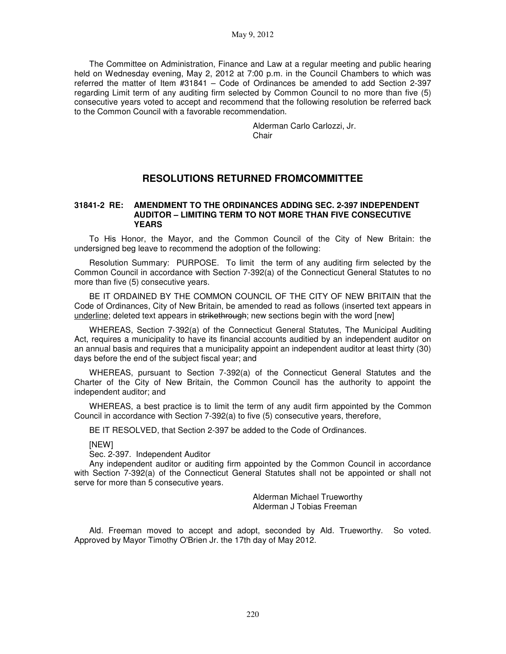The Committee on Administration, Finance and Law at a regular meeting and public hearing held on Wednesday evening, May 2, 2012 at 7:00 p.m. in the Council Chambers to which was referred the matter of Item #31841 – Code of Ordinances be amended to add Section 2-397 regarding Limit term of any auditing firm selected by Common Council to no more than five (5) consecutive years voted to accept and recommend that the following resolution be referred back to the Common Council with a favorable recommendation.

> Alderman Carlo Carlozzi, Jr. **Chair**

# **RESOLUTIONS RETURNED FROMCOMMITTEE**

### **31841-2 RE: AMENDMENT TO THE ORDINANCES ADDING SEC. 2-397 INDEPENDENT AUDITOR – LIMITING TERM TO NOT MORE THAN FIVE CONSECUTIVE YEARS**

To His Honor, the Mayor, and the Common Council of the City of New Britain: the undersigned beg leave to recommend the adoption of the following:

Resolution Summary: PURPOSE. To limit the term of any auditing firm selected by the Common Council in accordance with Section 7-392(a) of the Connecticut General Statutes to no more than five (5) consecutive years.

BE IT ORDAINED BY THE COMMON COUNCIL OF THE CITY OF NEW BRITAIN that the Code of Ordinances, City of New Britain, be amended to read as follows (inserted text appears in underline; deleted text appears in strikethrough; new sections begin with the word [new]

WHEREAS, Section 7-392(a) of the Connecticut General Statutes, The Municipal Auditing Act, requires a municipality to have its financial accounts auditied by an independent auditor on an annual basis and requires that a municipality appoint an independent auditor at least thirty (30) days before the end of the subject fiscal year; and

WHEREAS, pursuant to Section 7-392(a) of the Connecticut General Statutes and the Charter of the City of New Britain, the Common Council has the authority to appoint the independent auditor; and

WHEREAS, a best practice is to limit the term of any audit firm appointed by the Common Council in accordance with Section 7-392(a) to five (5) consecutive years, therefore,

BE IT RESOLVED, that Section 2-397 be added to the Code of Ordinances.

### [NEW]

Sec. 2-397. Independent Auditor

Any independent auditor or auditing firm appointed by the Common Council in accordance with Section 7-392(a) of the Connecticut General Statutes shall not be appointed or shall not serve for more than 5 consecutive years.

> Alderman Michael Trueworthy Alderman J Tobias Freeman

Ald. Freeman moved to accept and adopt, seconded by Ald. Trueworthy. So voted. Approved by Mayor Timothy O'Brien Jr. the 17th day of May 2012.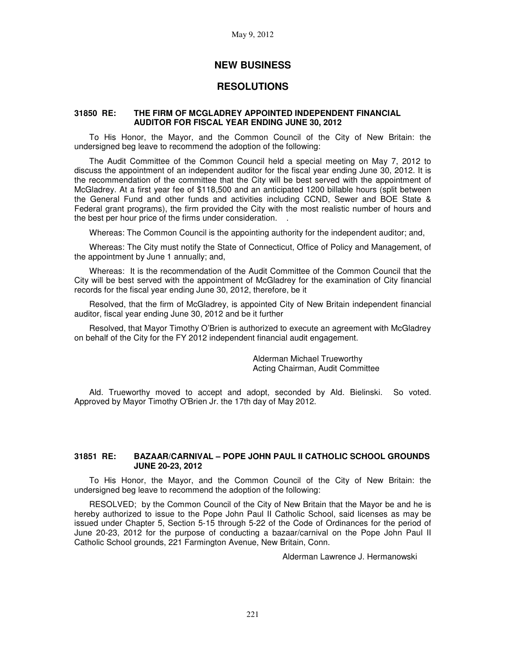# **NEW BUSINESS**

# **RESOLUTIONS**

### **31850 RE: THE FIRM OF MCGLADREY APPOINTED INDEPENDENT FINANCIAL AUDITOR FOR FISCAL YEAR ENDING JUNE 30, 2012**

To His Honor, the Mayor, and the Common Council of the City of New Britain: the undersigned beg leave to recommend the adoption of the following:

The Audit Committee of the Common Council held a special meeting on May 7, 2012 to discuss the appointment of an independent auditor for the fiscal year ending June 30, 2012. It is the recommendation of the committee that the City will be best served with the appointment of McGladrey. At a first year fee of \$118,500 and an anticipated 1200 billable hours (split between the General Fund and other funds and activities including CCND, Sewer and BOE State & Federal grant programs), the firm provided the City with the most realistic number of hours and the best per hour price of the firms under consideration. .

Whereas: The Common Council is the appointing authority for the independent auditor; and,

Whereas: The City must notify the State of Connecticut, Office of Policy and Management, of the appointment by June 1 annually; and,

Whereas: It is the recommendation of the Audit Committee of the Common Council that the City will be best served with the appointment of McGladrey for the examination of City financial records for the fiscal year ending June 30, 2012, therefore, be it

Resolved, that the firm of McGladrey, is appointed City of New Britain independent financial auditor, fiscal year ending June 30, 2012 and be it further

Resolved, that Mayor Timothy O'Brien is authorized to execute an agreement with McGladrey on behalf of the City for the FY 2012 independent financial audit engagement.

> Alderman Michael Trueworthy Acting Chairman, Audit Committee

Ald. Trueworthy moved to accept and adopt, seconded by Ald. Bielinski. So voted. Approved by Mayor Timothy O'Brien Jr. the 17th day of May 2012.

### **31851 RE: BAZAAR/CARNIVAL – POPE JOHN PAUL II CATHOLIC SCHOOL GROUNDS JUNE 20-23, 2012**

To His Honor, the Mayor, and the Common Council of the City of New Britain: the undersigned beg leave to recommend the adoption of the following:

RESOLVED; by the Common Council of the City of New Britain that the Mayor be and he is hereby authorized to issue to the Pope John Paul II Catholic School, said licenses as may be issued under Chapter 5, Section 5-15 through 5-22 of the Code of Ordinances for the period of June 20-23, 2012 for the purpose of conducting a bazaar/carnival on the Pope John Paul II Catholic School grounds, 221 Farmington Avenue, New Britain, Conn.

Alderman Lawrence J. Hermanowski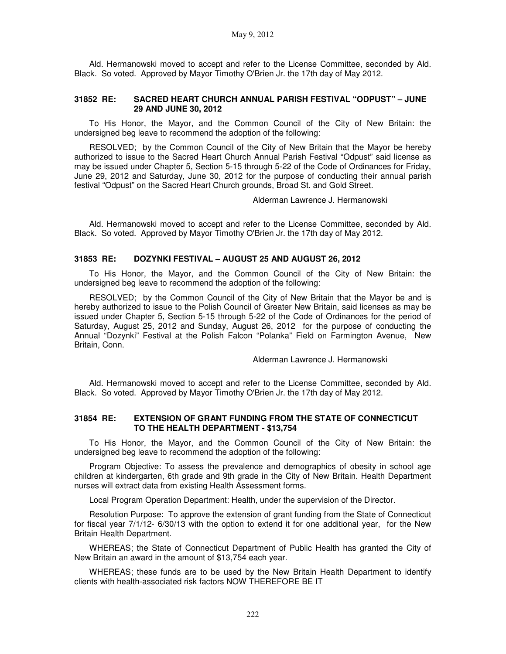Ald. Hermanowski moved to accept and refer to the License Committee, seconded by Ald. Black. So voted. Approved by Mayor Timothy O'Brien Jr. the 17th day of May 2012.

### **31852 RE: SACRED HEART CHURCH ANNUAL PARISH FESTIVAL "ODPUST" – JUNE 29 AND JUNE 30, 2012**

To His Honor, the Mayor, and the Common Council of the City of New Britain: the undersigned beg leave to recommend the adoption of the following:

RESOLVED; by the Common Council of the City of New Britain that the Mayor be hereby authorized to issue to the Sacred Heart Church Annual Parish Festival "Odpust" said license as may be issued under Chapter 5, Section 5-15 through 5-22 of the Code of Ordinances for Friday, June 29, 2012 and Saturday, June 30, 2012 for the purpose of conducting their annual parish festival "Odpust" on the Sacred Heart Church grounds, Broad St. and Gold Street.

Alderman Lawrence J. Hermanowski

Ald. Hermanowski moved to accept and refer to the License Committee, seconded by Ald. Black. So voted. Approved by Mayor Timothy O'Brien Jr. the 17th day of May 2012.

### **31853 RE: DOZYNKI FESTIVAL – AUGUST 25 AND AUGUST 26, 2012**

To His Honor, the Mayor, and the Common Council of the City of New Britain: the undersigned beg leave to recommend the adoption of the following:

RESOLVED; by the Common Council of the City of New Britain that the Mayor be and is hereby authorized to issue to the Polish Council of Greater New Britain, said licenses as may be issued under Chapter 5, Section 5-15 through 5-22 of the Code of Ordinances for the period of Saturday, August 25, 2012 and Sunday, August 26, 2012 for the purpose of conducting the Annual "Dozynki" Festival at the Polish Falcon "Polanka" Field on Farmington Avenue, New Britain, Conn.

Alderman Lawrence J. Hermanowski

Ald. Hermanowski moved to accept and refer to the License Committee, seconded by Ald. Black. So voted. Approved by Mayor Timothy O'Brien Jr. the 17th day of May 2012.

### **31854 RE: EXTENSION OF GRANT FUNDING FROM THE STATE OF CONNECTICUT TO THE HEALTH DEPARTMENT - \$13,754**

To His Honor, the Mayor, and the Common Council of the City of New Britain: the undersigned beg leave to recommend the adoption of the following:

Program Objective: To assess the prevalence and demographics of obesity in school age children at kindergarten, 6th grade and 9th grade in the City of New Britain. Health Department nurses will extract data from existing Health Assessment forms.

Local Program Operation Department: Health, under the supervision of the Director.

Resolution Purpose: To approve the extension of grant funding from the State of Connecticut for fiscal year 7/1/12- 6/30/13 with the option to extend it for one additional year, for the New Britain Health Department.

WHEREAS; the State of Connecticut Department of Public Health has granted the City of New Britain an award in the amount of \$13,754 each year.

WHEREAS; these funds are to be used by the New Britain Health Department to identify clients with health-associated risk factors NOW THEREFORE BE IT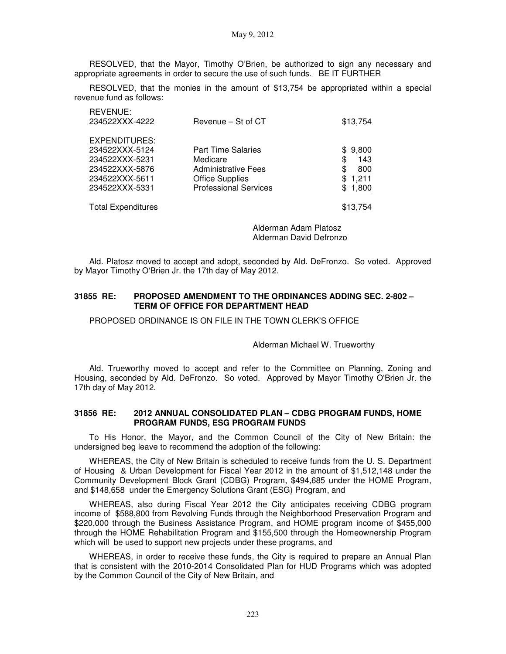RESOLVED, that the Mayor, Timothy O'Brien, be authorized to sign any necessary and appropriate agreements in order to secure the use of such funds. BE IT FURTHER

RESOLVED, that the monies in the amount of \$13,754 be appropriated within a special revenue fund as follows:

| REVENUE:<br>234522XXX-4222 | Revenue - St of CT           | \$13,754     |
|----------------------------|------------------------------|--------------|
| EXPENDITURES:              |                              |              |
| 234522XXX-5124             | <b>Part Time Salaries</b>    | 9,800<br>SS. |
| 234522XXX-5231             | Medicare                     | 143<br>\$    |
| 234522XXX-5876             | <b>Administrative Fees</b>   | \$<br>800    |
| 234522XXX-5611             | <b>Office Supplies</b>       | \$1,211      |
| 234522XXX-5331             | <b>Professional Services</b> | \$1,800      |
| <b>Total Expenditures</b>  |                              | \$13,754     |

Alderman Adam Platosz Alderman David Defronzo

Ald. Platosz moved to accept and adopt, seconded by Ald. DeFronzo. So voted. Approved by Mayor Timothy O'Brien Jr. the 17th day of May 2012.

### **31855 RE: PROPOSED AMENDMENT TO THE ORDINANCES ADDING SEC. 2-802 – TERM OF OFFICE FOR DEPARTMENT HEAD**

PROPOSED ORDINANCE IS ON FILE IN THE TOWN CLERK'S OFFICE

Alderman Michael W. Trueworthy

Ald. Trueworthy moved to accept and refer to the Committee on Planning, Zoning and Housing, seconded by Ald. DeFronzo. So voted. Approved by Mayor Timothy O'Brien Jr. the 17th day of May 2012.

### **31856 RE: 2012 ANNUAL CONSOLIDATED PLAN – CDBG PROGRAM FUNDS, HOME PROGRAM FUNDS, ESG PROGRAM FUNDS**

To His Honor, the Mayor, and the Common Council of the City of New Britain: the undersigned beg leave to recommend the adoption of the following:

WHEREAS, the City of New Britain is scheduled to receive funds from the U. S. Department of Housing & Urban Development for Fiscal Year 2012 in the amount of \$1,512,148 under the Community Development Block Grant (CDBG) Program, \$494,685 under the HOME Program, and \$148,658 under the Emergency Solutions Grant (ESG) Program, and

WHEREAS, also during Fiscal Year 2012 the City anticipates receiving CDBG program income of \$588,800 from Revolving Funds through the Neighborhood Preservation Program and \$220,000 through the Business Assistance Program, and HOME program income of \$455,000 through the HOME Rehabilitation Program and \$155,500 through the Homeownership Program which will be used to support new projects under these programs, and

WHEREAS, in order to receive these funds, the City is required to prepare an Annual Plan that is consistent with the 2010-2014 Consolidated Plan for HUD Programs which was adopted by the Common Council of the City of New Britain, and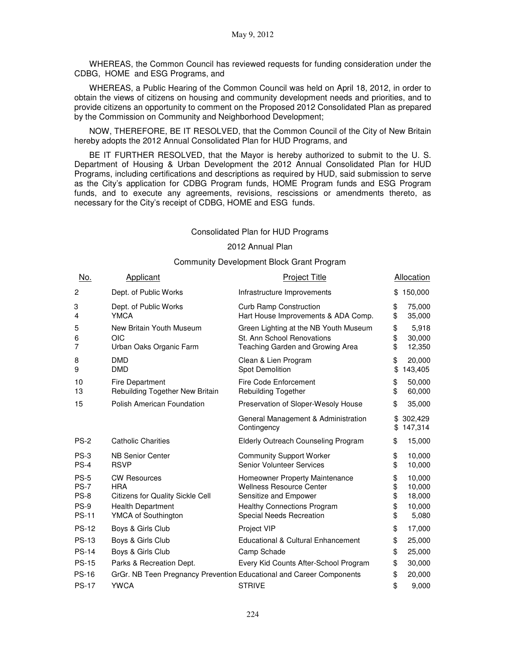WHEREAS, the Common Council has reviewed requests for funding consideration under the CDBG, HOME and ESG Programs, and

WHEREAS, a Public Hearing of the Common Council was held on April 18, 2012, in order to obtain the views of citizens on housing and community development needs and priorities, and to provide citizens an opportunity to comment on the Proposed 2012 Consolidated Plan as prepared by the Commission on Community and Neighborhood Development;

NOW, THEREFORE, BE IT RESOLVED, that the Common Council of the City of New Britain hereby adopts the 2012 Annual Consolidated Plan for HUD Programs, and

BE IT FURTHER RESOLVED, that the Mayor is hereby authorized to submit to the U. S. Department of Housing & Urban Development the 2012 Annual Consolidated Plan for HUD Programs, including certifications and descriptions as required by HUD, said submission to serve as the City's application for CDBG Program funds, HOME Program funds and ESG Program funds, and to execute any agreements, revisions, rescissions or amendments thereto, as necessary for the City's receipt of CDBG, HOME and ESG funds.

### Consolidated Plan for HUD Programs

### 2012 Annual Plan

### Community Development Block Grant Program

| No.                      | Applicant                                                             | <b>Project Title</b>                                                                                    |                | Allocation                 |
|--------------------------|-----------------------------------------------------------------------|---------------------------------------------------------------------------------------------------------|----------------|----------------------------|
| $\overline{c}$           | Dept. of Public Works                                                 | Infrastructure Improvements                                                                             | \$             | 150,000                    |
| 3<br>4                   | Dept. of Public Works<br><b>YMCA</b>                                  | <b>Curb Ramp Construction</b><br>Hart House Improvements & ADA Comp.                                    | \$<br>\$       | 75,000<br>35,000           |
| 5<br>6<br>7              | New Britain Youth Museum<br>OIC<br>Urban Oaks Organic Farm            | Green Lighting at the NB Youth Museum<br>St. Ann School Renovations<br>Teaching Garden and Growing Area | \$<br>\$<br>\$ | 5,918<br>30,000<br>12,350  |
| 8<br>9                   | <b>DMD</b><br><b>DMD</b>                                              | Clean & Lien Program<br>Spot Demolition                                                                 | \$<br>\$       | 20,000<br>143,405          |
| 10<br>13                 | <b>Fire Department</b><br>Rebuilding Together New Britain             | Fire Code Enforcement<br><b>Rebuilding Together</b>                                                     | \$<br>\$       | 50,000<br>60,000           |
| 15                       | Polish American Foundation                                            | Preservation of Sloper-Wesoly House                                                                     | \$             | 35,000                     |
|                          |                                                                       | General Management & Administration<br>Contingency                                                      | \$<br>\$       | 302,429<br>147,314         |
| <b>PS-2</b>              | <b>Catholic Charities</b>                                             | <b>Elderly Outreach Counseling Program</b>                                                              | \$             | 15,000                     |
| $PS-3$<br>$PS-4$         | <b>NB Senior Center</b><br><b>RSVP</b>                                | <b>Community Support Worker</b><br>Senior Volunteer Services                                            | \$<br>\$       | 10,000<br>10,000           |
| $PS-5$<br>$PS-7$<br>PS-8 | <b>CW Resources</b><br><b>HRA</b><br>Citizens for Quality Sickle Cell | Homeowner Property Maintenance<br><b>Wellness Resource Center</b><br>Sensitize and Empower              | \$<br>\$<br>\$ | 10,000<br>10,000<br>18,000 |
| PS-9<br><b>PS-11</b>     | <b>Health Department</b><br>YMCA of Southington                       | <b>Healthy Connections Program</b><br>Special Needs Recreation                                          | \$<br>\$       | 10,000<br>5,080            |
| <b>PS-12</b>             | Boys & Girls Club                                                     | Project VIP                                                                                             | \$             | 17,000                     |
| <b>PS-13</b>             | Boys & Girls Club                                                     | Educational & Cultural Enhancement                                                                      | \$             | 25,000                     |
| <b>PS-14</b>             | Boys & Girls Club                                                     | Camp Schade                                                                                             | \$             | 25,000                     |
| <b>PS-15</b>             | Parks & Recreation Dept.                                              | Every Kid Counts After-School Program                                                                   | \$             | 30,000                     |
| <b>PS-16</b>             |                                                                       | GrGr. NB Teen Pregnancy Prevention Educational and Career Components                                    | \$             | 20,000                     |
| <b>PS-17</b>             | <b>YWCA</b>                                                           | <b>STRIVE</b>                                                                                           | \$             | 9,000                      |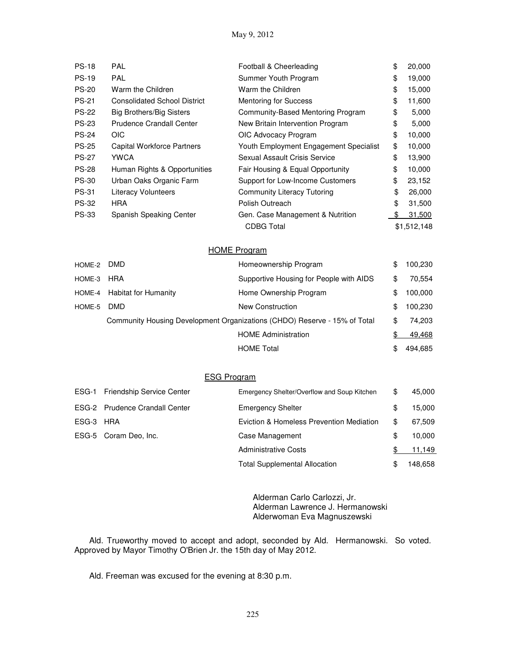| <b>PS-18</b> | <b>PAL</b>                          | Football & Cheerleading                | \$ | 20,000      |
|--------------|-------------------------------------|----------------------------------------|----|-------------|
| <b>PS-19</b> | <b>PAL</b>                          | Summer Youth Program                   | \$ | 19,000      |
| <b>PS-20</b> | Warm the Children                   | Warm the Children                      | \$ | 15,000      |
| <b>PS-21</b> | <b>Consolidated School District</b> | <b>Mentoring for Success</b>           | \$ | 11,600      |
| <b>PS-22</b> | <b>Big Brothers/Big Sisters</b>     | Community-Based Mentoring Program      | \$ | 5,000       |
| <b>PS-23</b> | <b>Prudence Crandall Center</b>     | New Britain Intervention Program       | \$ | 5,000       |
| <b>PS-24</b> | <b>OIC</b>                          | OIC Advocacy Program                   | \$ | 10,000      |
| <b>PS-25</b> | Capital Workforce Partners          | Youth Employment Engagement Specialist | \$ | 10,000      |
| <b>PS-27</b> | <b>YWCA</b>                         | Sexual Assault Crisis Service          | \$ | 13,900      |
| <b>PS-28</b> | Human Rights & Opportunities        | Fair Housing & Equal Opportunity       | \$ | 10,000      |
| <b>PS-30</b> | Urban Oaks Organic Farm             | Support for Low-Income Customers       | \$ | 23,152      |
| <b>PS-31</b> | <b>Literacy Volunteers</b>          | Community Literacy Tutoring            | \$ | 26,000      |
| <b>PS-32</b> | <b>HRA</b>                          | Polish Outreach                        | \$ | 31,500      |
| <b>PS-33</b> | Spanish Speaking Center             | Gen. Case Management & Nutrition       | -S | 31,500      |
|              |                                     | <b>CDBG Total</b>                      |    | \$1,512,148 |

## HOME Program

| HOME-2 DMD |                             | Homeownership Program                                                     | \$<br>100,230 |
|------------|-----------------------------|---------------------------------------------------------------------------|---------------|
| HOME-3     | HRA                         | Supportive Housing for People with AIDS                                   | \$<br>70.554  |
|            | HOME-4 Habitat for Humanity | Home Ownership Program                                                    | \$<br>100,000 |
| HOME-5     | DMD.                        | New Construction                                                          | \$<br>100,230 |
|            |                             | Community Housing Development Organizations (CHDO) Reserve - 15% of Total | \$<br>74.203  |
|            |                             | <b>HOME Administration</b>                                                | 49,468        |
|            |                             | <b>HOME Total</b>                                                         | 494.685       |

## ESG Program

| ESG-1     | <b>Friendship Service Center</b>      | Emergency Shelter/Overflow and Soup Kitchen | \$<br>45,000  |
|-----------|---------------------------------------|---------------------------------------------|---------------|
|           | <b>ESG-2</b> Prudence Crandall Center | <b>Emergency Shelter</b>                    | \$<br>15,000  |
| ESG-3 HRA |                                       | Eviction & Homeless Prevention Mediation    | \$<br>67,509  |
|           | ESG-5 Coram Deo, Inc.                 | Case Management                             | \$<br>10,000  |
|           |                                       | <b>Administrative Costs</b>                 | 11,149        |
|           |                                       | <b>Total Supplemental Allocation</b>        | \$<br>148,658 |

Alderman Carlo Carlozzi, Jr. Alderman Lawrence J. Hermanowski Alderwoman Eva Magnuszewski

Ald. Trueworthy moved to accept and adopt, seconded by Ald. Hermanowski. So voted. Approved by Mayor Timothy O'Brien Jr. the 15th day of May 2012.

Ald. Freeman was excused for the evening at 8:30 p.m.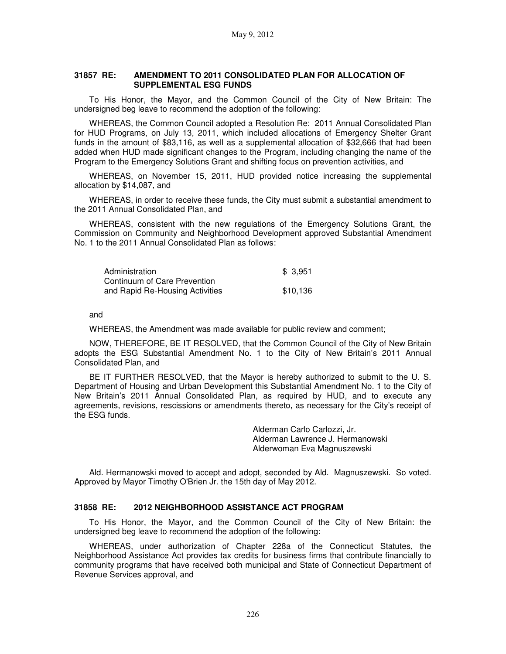### **31857 RE: AMENDMENT TO 2011 CONSOLIDATED PLAN FOR ALLOCATION OF SUPPLEMENTAL ESG FUNDS**

To His Honor, the Mayor, and the Common Council of the City of New Britain: The undersigned beg leave to recommend the adoption of the following:

WHEREAS, the Common Council adopted a Resolution Re: 2011 Annual Consolidated Plan for HUD Programs, on July 13, 2011, which included allocations of Emergency Shelter Grant funds in the amount of \$83,116, as well as a supplemental allocation of \$32,666 that had been added when HUD made significant changes to the Program, including changing the name of the Program to the Emergency Solutions Grant and shifting focus on prevention activities, and

WHEREAS, on November 15, 2011, HUD provided notice increasing the supplemental allocation by \$14,087, and

WHEREAS, in order to receive these funds, the City must submit a substantial amendment to the 2011 Annual Consolidated Plan, and

WHEREAS, consistent with the new regulations of the Emergency Solutions Grant, the Commission on Community and Neighborhood Development approved Substantial Amendment No. 1 to the 2011 Annual Consolidated Plan as follows:

| Administration                  | \$ 3.951 |
|---------------------------------|----------|
| Continuum of Care Prevention    |          |
| and Rapid Re-Housing Activities | \$10.136 |

and

WHEREAS, the Amendment was made available for public review and comment;

NOW, THEREFORE, BE IT RESOLVED, that the Common Council of the City of New Britain adopts the ESG Substantial Amendment No. 1 to the City of New Britain's 2011 Annual Consolidated Plan, and

BE IT FURTHER RESOLVED, that the Mayor is hereby authorized to submit to the U. S. Department of Housing and Urban Development this Substantial Amendment No. 1 to the City of New Britain's 2011 Annual Consolidated Plan, as required by HUD, and to execute any agreements, revisions, rescissions or amendments thereto, as necessary for the City's receipt of the ESG funds.

> Alderman Carlo Carlozzi, Jr. Alderman Lawrence J. Hermanowski Alderwoman Eva Magnuszewski

Ald. Hermanowski moved to accept and adopt, seconded by Ald. Magnuszewski. So voted. Approved by Mayor Timothy O'Brien Jr. the 15th day of May 2012.

### **31858 RE: 2012 NEIGHBORHOOD ASSISTANCE ACT PROGRAM**

To His Honor, the Mayor, and the Common Council of the City of New Britain: the undersigned beg leave to recommend the adoption of the following:

WHEREAS, under authorization of Chapter 228a of the Connecticut Statutes, the Neighborhood Assistance Act provides tax credits for business firms that contribute financially to community programs that have received both municipal and State of Connecticut Department of Revenue Services approval, and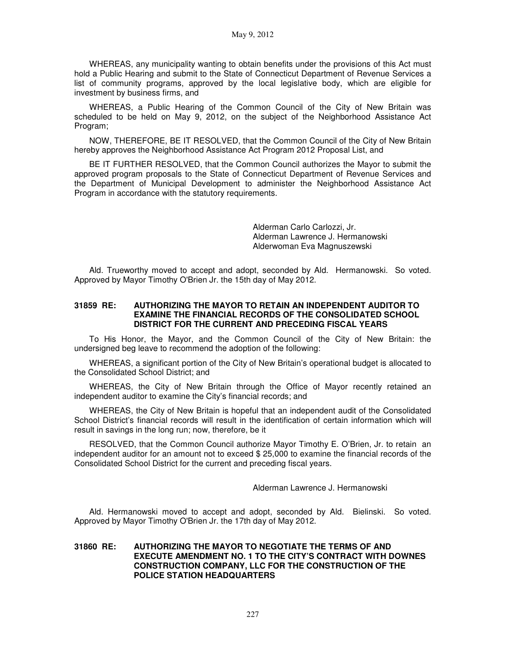May 9, 2012

WHEREAS, any municipality wanting to obtain benefits under the provisions of this Act must hold a Public Hearing and submit to the State of Connecticut Department of Revenue Services a list of community programs, approved by the local legislative body, which are eligible for investment by business firms, and

WHEREAS, a Public Hearing of the Common Council of the City of New Britain was scheduled to be held on May 9, 2012, on the subject of the Neighborhood Assistance Act Program;

NOW, THEREFORE, BE IT RESOLVED, that the Common Council of the City of New Britain hereby approves the Neighborhood Assistance Act Program 2012 Proposal List, and

BE IT FURTHER RESOLVED, that the Common Council authorizes the Mayor to submit the approved program proposals to the State of Connecticut Department of Revenue Services and the Department of Municipal Development to administer the Neighborhood Assistance Act Program in accordance with the statutory requirements.

> Alderman Carlo Carlozzi, Jr. Alderman Lawrence J. Hermanowski Alderwoman Eva Magnuszewski

Ald. Trueworthy moved to accept and adopt, seconded by Ald. Hermanowski. So voted. Approved by Mayor Timothy O'Brien Jr. the 15th day of May 2012.

### **31859 RE: AUTHORIZING THE MAYOR TO RETAIN AN INDEPENDENT AUDITOR TO EXAMINE THE FINANCIAL RECORDS OF THE CONSOLIDATED SCHOOL DISTRICT FOR THE CURRENT AND PRECEDING FISCAL YEARS**

To His Honor, the Mayor, and the Common Council of the City of New Britain: the undersigned beg leave to recommend the adoption of the following:

WHEREAS, a significant portion of the City of New Britain's operational budget is allocated to the Consolidated School District; and

WHEREAS, the City of New Britain through the Office of Mayor recently retained an independent auditor to examine the City's financial records; and

WHEREAS, the City of New Britain is hopeful that an independent audit of the Consolidated School District's financial records will result in the identification of certain information which will result in savings in the long run; now, therefore, be it

RESOLVED, that the Common Council authorize Mayor Timothy E. O'Brien, Jr. to retain an independent auditor for an amount not to exceed \$ 25,000 to examine the financial records of the Consolidated School District for the current and preceding fiscal years.

Alderman Lawrence J. Hermanowski

Ald. Hermanowski moved to accept and adopt, seconded by Ald. Bielinski. So voted. Approved by Mayor Timothy O'Brien Jr. the 17th day of May 2012.

### **31860 RE: AUTHORIZING THE MAYOR TO NEGOTIATE THE TERMS OF AND EXECUTE AMENDMENT NO. 1 TO THE CITY'S CONTRACT WITH DOWNES CONSTRUCTION COMPANY, LLC FOR THE CONSTRUCTION OF THE POLICE STATION HEADQUARTERS**